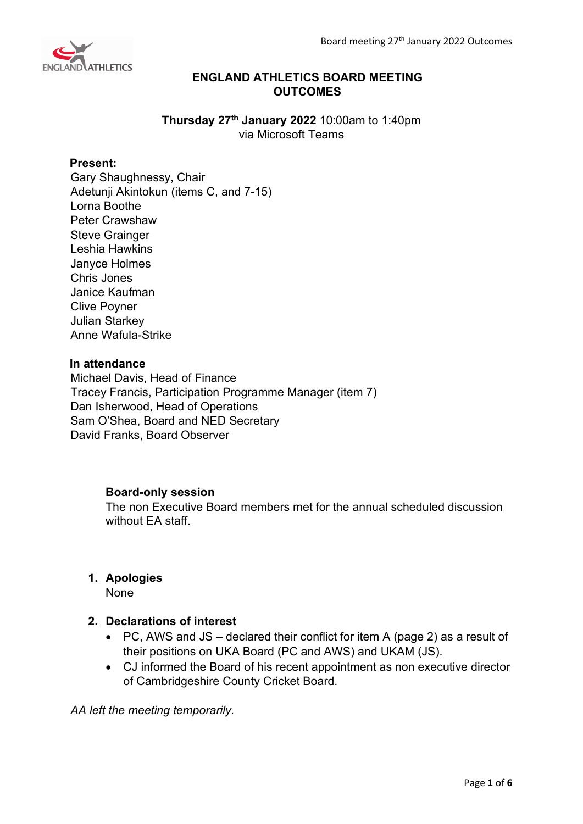

# **ENGLAND ATHLETICS BOARD MEETING OUTCOMES**

**Thursday 27th January 2022** 10:00am to 1:40pm via Microsoft Teams

# **Present:**

Gary Shaughnessy, Chair Adetunji Akintokun (items C, and 7-15) Lorna Boothe Peter Crawshaw Steve Grainger Leshia Hawkins Janyce Holmes Chris Jones Janice Kaufman Clive Poyner Julian Starkey Anne Wafula-Strike

# **In attendance**

Michael Davis, Head of Finance Tracey Francis, Participation Programme Manager (item 7) Dan Isherwood, Head of Operations Sam O'Shea, Board and NED Secretary David Franks, Board Observer

# **Board-only session**

The non Executive Board members met for the annual scheduled discussion without FA staff

# **1. Apologies**

None

# **2. Declarations of interest**

- PC, AWS and JS declared their conflict for item A (page 2) as a result of their positions on UKA Board (PC and AWS) and UKAM (JS).
- CJ informed the Board of his recent appointment as non executive director of Cambridgeshire County Cricket Board.

*AA left the meeting temporarily.*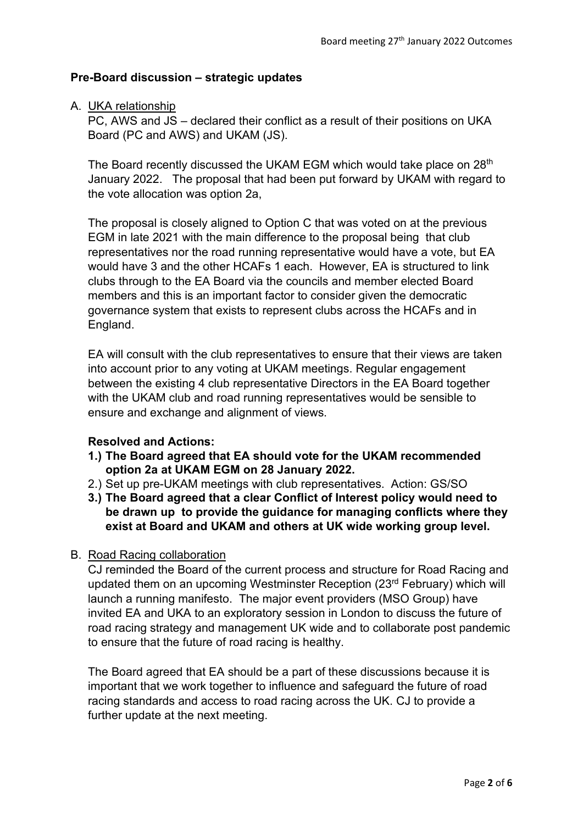# **Pre-Board discussion – strategic updates**

# A. UKA relationship

PC, AWS and JS – declared their conflict as a result of their positions on UKA Board (PC and AWS) and UKAM (JS).

The Board recently discussed the UKAM EGM which would take place on 28<sup>th</sup> January 2022. The proposal that had been put forward by UKAM with regard to the vote allocation was option 2a,

The proposal is closely aligned to Option C that was voted on at the previous EGM in late 2021 with the main difference to the proposal being that club representatives nor the road running representative would have a vote, but EA would have 3 and the other HCAFs 1 each. However, EA is structured to link clubs through to the EA Board via the councils and member elected Board members and this is an important factor to consider given the democratic governance system that exists to represent clubs across the HCAFs and in England.

EA will consult with the club representatives to ensure that their views are taken into account prior to any voting at UKAM meetings. Regular engagement between the existing 4 club representative Directors in the EA Board together with the UKAM club and road running representatives would be sensible to ensure and exchange and alignment of views.

# **Resolved and Actions:**

- **1.) The Board agreed that EA should vote for the UKAM recommended option 2a at UKAM EGM on 28 January 2022.**
- 2.) Set up pre-UKAM meetings with club representatives. Action: GS/SO
- **3.) The Board agreed that a clear Conflict of Interest policy would need to be drawn up to provide the guidance for managing conflicts where they exist at Board and UKAM and others at UK wide working group level.**

# B. Road Racing collaboration

CJ reminded the Board of the current process and structure for Road Racing and updated them on an upcoming Westminster Reception (23rd February) which will launch a running manifesto. The major event providers (MSO Group) have invited EA and UKA to an exploratory session in London to discuss the future of road racing strategy and management UK wide and to collaborate post pandemic to ensure that the future of road racing is healthy.

The Board agreed that EA should be a part of these discussions because it is important that we work together to influence and safeguard the future of road racing standards and access to road racing across the UK. CJ to provide a further update at the next meeting.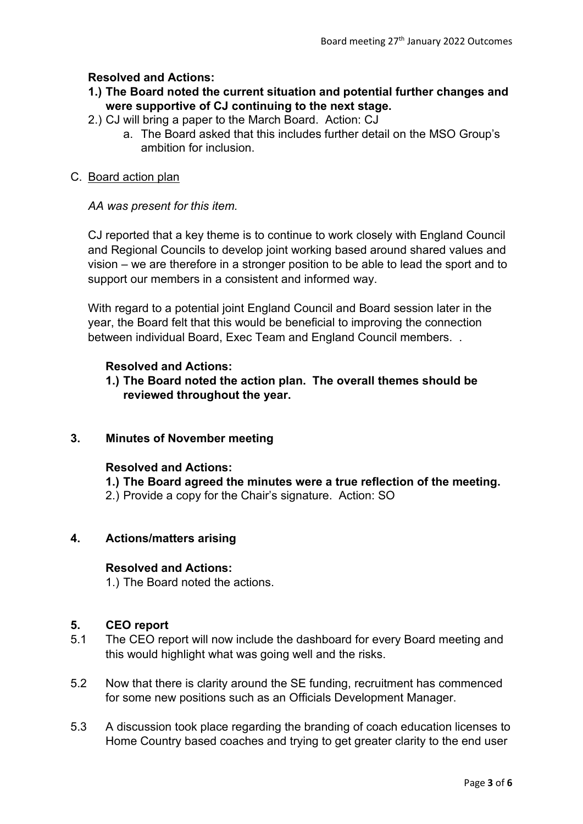# **Resolved and Actions:**

- **1.) The Board noted the current situation and potential further changes and were supportive of CJ continuing to the next stage.**
- 2.) CJ will bring a paper to the March Board. Action: CJ
	- a. The Board asked that this includes further detail on the MSO Group's ambition for inclusion.

### C. Board action plan

### *AA was present for this item.*

CJ reported that a key theme is to continue to work closely with England Council and Regional Councils to develop joint working based around shared values and vision – we are therefore in a stronger position to be able to lead the sport and to support our members in a consistent and informed way.

With regard to a potential joint England Council and Board session later in the year, the Board felt that this would be beneficial to improving the connection between individual Board, Exec Team and England Council members. .

### **Resolved and Actions:**

**1.) The Board noted the action plan. The overall themes should be reviewed throughout the year.**

# **3. Minutes of November meeting**

### **Resolved and Actions:**

**1.) The Board agreed the minutes were a true reflection of the meeting.** 2.) Provide a copy for the Chair's signature. Action: SO

#### **4. Actions/matters arising**

#### **Resolved and Actions:**

1.) The Board noted the actions.

# **5. CEO report**

- 5.1 The CEO report will now include the dashboard for every Board meeting and this would highlight what was going well and the risks.
- 5.2 Now that there is clarity around the SE funding, recruitment has commenced for some new positions such as an Officials Development Manager.
- 5.3 A discussion took place regarding the branding of coach education licenses to Home Country based coaches and trying to get greater clarity to the end user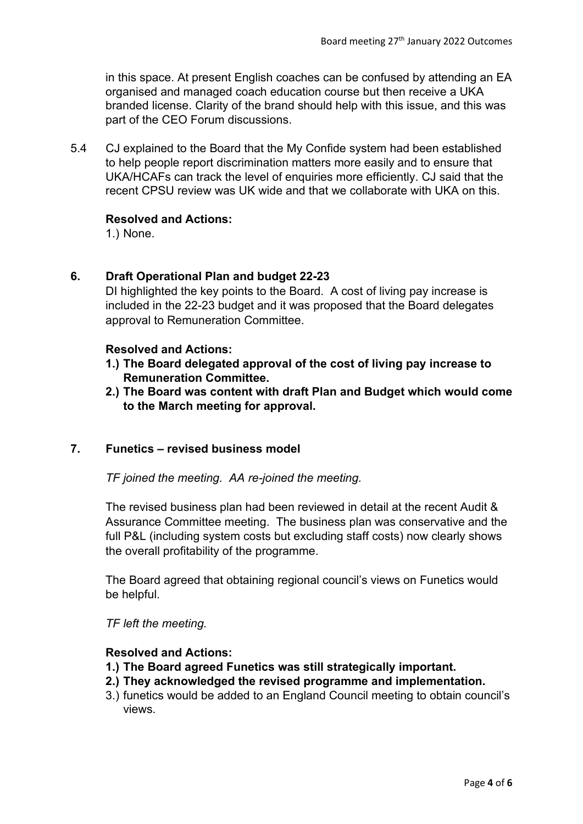in this space. At present English coaches can be confused by attending an EA organised and managed coach education course but then receive a UKA branded license. Clarity of the brand should help with this issue, and this was part of the CEO Forum discussions.

5.4 CJ explained to the Board that the My Confide system had been established to help people report discrimination matters more easily and to ensure that UKA/HCAFs can track the level of enquiries more efficiently. CJ said that the recent CPSU review was UK wide and that we collaborate with UKA on this.

# **Resolved and Actions:**

1.) None.

# **6. Draft Operational Plan and budget 22-23**

DI highlighted the key points to the Board. A cost of living pay increase is included in the 22-23 budget and it was proposed that the Board delegates approval to Remuneration Committee.

#### **Resolved and Actions:**

- **1.) The Board delegated approval of the cost of living pay increase to Remuneration Committee.**
- **2.) The Board was content with draft Plan and Budget which would come to the March meeting for approval.**

# **7. Funetics – revised business model**

*TF joined the meeting. AA re-joined the meeting.*

The revised business plan had been reviewed in detail at the recent Audit & Assurance Committee meeting. The business plan was conservative and the full P&L (including system costs but excluding staff costs) now clearly shows the overall profitability of the programme.

The Board agreed that obtaining regional council's views on Funetics would be helpful.

*TF left the meeting.*

#### **Resolved and Actions:**

- **1.) The Board agreed Funetics was still strategically important.**
- **2.) They acknowledged the revised programme and implementation.**
- 3.) funetics would be added to an England Council meeting to obtain council's views.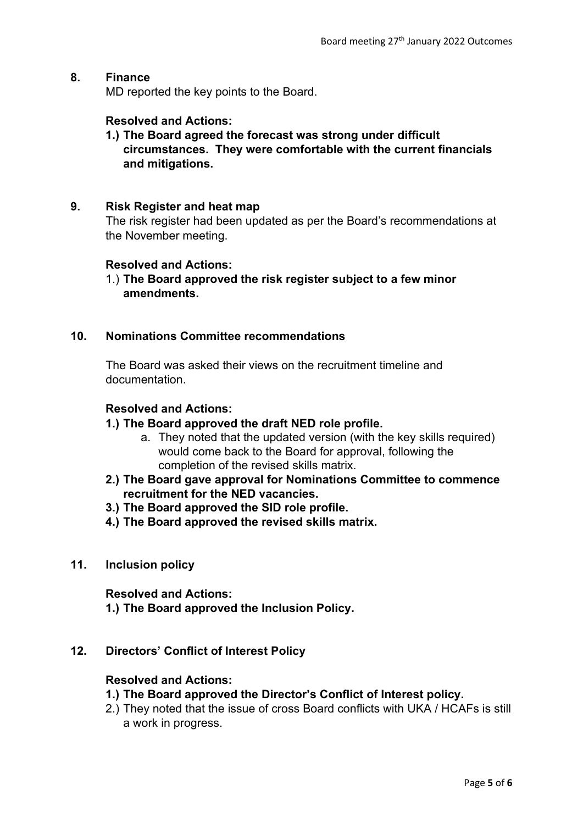### **8. Finance**

MD reported the key points to the Board.

### **Resolved and Actions:**

**1.) The Board agreed the forecast was strong under difficult circumstances. They were comfortable with the current financials and mitigations.**

#### **9. Risk Register and heat map**

The risk register had been updated as per the Board's recommendations at the November meeting.

#### **Resolved and Actions:**

1.) **The Board approved the risk register subject to a few minor amendments.** 

# **10. Nominations Committee recommendations**

The Board was asked their views on the recruitment timeline and documentation.

#### **Resolved and Actions:**

- **1.) The Board approved the draft NED role profile.** 
	- a. They noted that the updated version (with the key skills required) would come back to the Board for approval, following the completion of the revised skills matrix.
- **2.) The Board gave approval for Nominations Committee to commence recruitment for the NED vacancies.**
- **3.) The Board approved the SID role profile.**
- **4.) The Board approved the revised skills matrix.**

#### **11. Inclusion policy**

**Resolved and Actions: 1.) The Board approved the Inclusion Policy.**

# **12. Directors' Conflict of Interest Policy**

#### **Resolved and Actions:**

- **1.) The Board approved the Director's Conflict of Interest policy.**
- 2.) They noted that the issue of cross Board conflicts with UKA / HCAFs is still a work in progress.